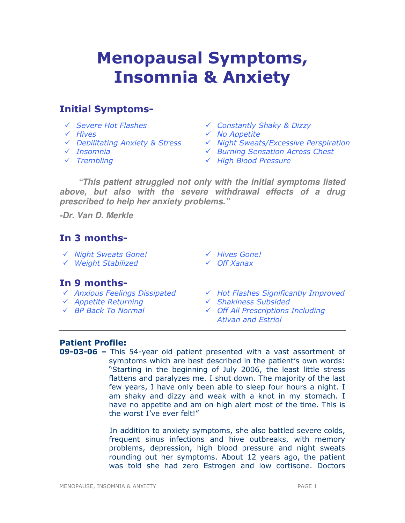# Menopausal Symptoms, Insomnia & Anxiety

# Initial Symptoms-

- 
- 
- 
- 
- 
- Severe Hot Flashes Constantly Shaky & Dizzy
- $\checkmark$  Hives  $\checkmark$  No Appetite
- $\checkmark$  Debilitating Anxiety & Stress  $\checkmark$  Night Sweats/Excessive Perspiration
- ← Insomnia and a Burning Sensation Across Chest
- $\sqrt{}$  Trembling  $\sqrt{}$  High Blood Pressure

**"This patient struggled not only with the initial symptoms listed above, but also with the severe withdrawal effects of a drug prescribed to help her anxiety problems."** 

**-Dr. Van D. Merkle** 

# In 3 months-

- V Night Sweats Gone! V Hives Gone!
- Weight Stabilized Off Xanax
- 
- 

# In 9 months-

- 
- 
- 
- $\checkmark$  Anxious Feelings Dissipated  $\checkmark$  Hot Flashes Significantly Improved  $\checkmark$  Appetite Returning  $\checkmark$  Shakiness Subsided
- ← Appetite Returning <br>
Shakiness Subsided
- BP Back To Normal Off All Prescriptions Including Ativan and Estriol

### Patient Profile:

09-03-06 – This 54-year old patient presented with a vast assortment of symptoms which are best described in the patient's own words: "Starting in the beginning of July 2006, the least little stress flattens and paralyzes me. I shut down. The majority of the last few years, I have only been able to sleep four hours a night. I am shaky and dizzy and weak with a knot in my stomach. I have no appetite and am on high alert most of the time. This is the worst I've ever felt!"

> In addition to anxiety symptoms, she also battled severe colds, frequent sinus infections and hive outbreaks, with memory problems, depression, high blood pressure and night sweats rounding out her symptoms. About 12 years ago, the patient was told she had zero Estrogen and low cortisone. Doctors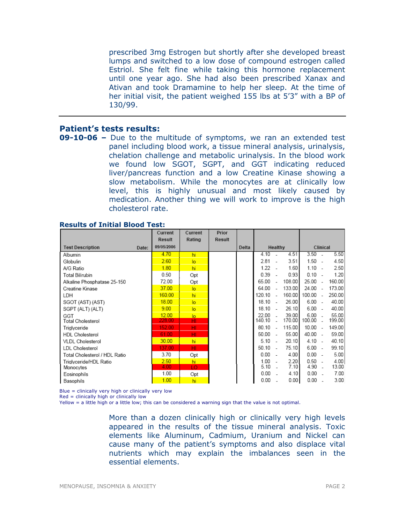prescribed 3mg Estrogen but shortly after she developed breast lumps and switched to a low dose of compound estrogen called Estriol. She felt fine while taking this hormone replacement until one year ago. She had also been prescribed Xanax and Ativan and took Dramamine to help her sleep. At the time of her initial visit, the patient weighed 155 lbs at 5'3" with a BP of 130/99.

#### Patient's tests results:

09-10-06 - Due to the multitude of symptoms, we ran an extended test panel including blood work, a tissue mineral analysis, urinalysis, chelation challenge and metabolic urinalysis. In the blood work we found low SGOT, SGPT, and GGT indicating reduced liver/pancreas function and a low Creatine Kinase showing a slow metabolism. While the monocytes are at clinically low level, this is highly unusual and most likely caused by medication. Another thing we will work to improve is the high cholesterol rate.

|                               |       | Current       | Current        | Prior         |       |        |                          |        |           |                          |        |
|-------------------------------|-------|---------------|----------------|---------------|-------|--------|--------------------------|--------|-----------|--------------------------|--------|
|                               |       | <b>Result</b> | Rating         | <b>Result</b> |       |        |                          |        |           |                          |        |
| <b>Test Description</b>       | Date: | 09/05/2006    |                |               | Delta |        | Healthy                  |        | Clinical  |                          |        |
| Albumin                       |       | 4.70          | hi             |               |       | 4.10   |                          | 4.51   | 3.50      | ÷.                       | 5.50   |
| Globulin                      |       | 2.60          | $\overline{a}$ |               |       | 2.81   | $\overline{a}$           | 3.51   | $1.50 -$  |                          | 4.50   |
| A/G Ratio                     |       | 1.80          | hi             |               |       | 1.22   |                          | 1.60   | 1.10      | ÷.                       | 2.50   |
| <b>Total Bilirubin</b>        |       | 0.50          | Opt            |               |       | 0.39   |                          | 0.93   | $0.10 -$  |                          | 1.20   |
| Alkaline Phosphatase 25-150   |       | 72.00         | Opt            |               |       | 65.00  |                          | 108.00 | 25.00     | $\overline{\phantom{a}}$ | 160.00 |
| Creatine Kinase               |       | 37.00         | lo.            |               |       | 64.00  |                          | 133.00 | 24.00     | $\overline{\phantom{a}}$ | 173.00 |
| LDH                           |       | 160.00        | hi             |               |       | 120.10 |                          | 160.00 | 100.00    | $\sim$                   | 250.00 |
| SGOT (AST) (AST)              |       | 18.00         | lo             |               |       | 18.10  | $\overline{\phantom{a}}$ | 26.00  | 6.00      | $\overline{\phantom{a}}$ | 40.00  |
| SGPT (ALT) (ALT)              |       | 9.00          | lo.            |               |       | 18.10  |                          | 26.10  | 6.00      | $\overline{\phantom{a}}$ | 40.00  |
| GGT                           |       | 12.00         | lo.            |               |       | 22.00  |                          | 39.00  | $6.00 -$  |                          | 55.00  |
| Total Cholesterol             |       | 228.00        | HI             |               |       | 140.10 |                          | 170.00 | 100.00    |                          | 199.00 |
| Triglyceride                  |       | 152.00        | HI.            |               |       | 80.10  | $\overline{a}$           | 115.00 | $10.00 -$ |                          | 149.00 |
| <b>HDL Cholesterol</b>        |       | 61.00         | HI.            |               |       | 50.00  | $\sim$                   | 55.00  | 40.00 -   |                          | 59.00  |
| VLDL Cholesterol              |       | 30.00         | hi             |               |       | 5.10   |                          | 20.10  | $4.10 -$  |                          | 40.10  |
| <b>LDL</b> Cholesterol        |       | 137.00        | HI.            |               |       | 50.10  | $\overline{\phantom{a}}$ | 75.10  | $6.00 -$  |                          | 99.10  |
| Total Cholesterol / HDL Ratio |       | 3.70          | Opt            |               |       | 0.00   |                          | 4.00   | $0.00 -$  |                          | 5.00   |
| Triglyceride/HDL Ratio        |       | 2.50          | hi             |               |       | 1.00   |                          | 2.20   | $0.50 -$  |                          | 4.00   |
| Monocytes                     |       | 4.00          | LO.            |               |       | 5.10   |                          | 7.10   | 4.90      | $\overline{\phantom{a}}$ | 13.00  |
| Eosinophils                   |       | 1.00          | Opt            |               |       | 0.00   |                          | 4.10   | 0.00      | ÷.                       | 7.00   |
| Basophils                     |       | 1.00          | hi             |               |       | 0.00   |                          | 0.00   | 0.00      |                          | 3.00   |

#### Results of Initial Blood Test:

Blue = clinically very high or clinically very low

Red = clinically high or clinically low

Yellow = a little high or a little low; this can be considered a warning sign that the value is not optimal.

More than a dozen clinically high or clinically very high levels appeared in the results of the tissue mineral analysis. Toxic elements like Aluminum, Cadmium, Uranium and Nickel can cause many of the patient's symptoms and also displace vital nutrients which may explain the imbalances seen in the essential elements.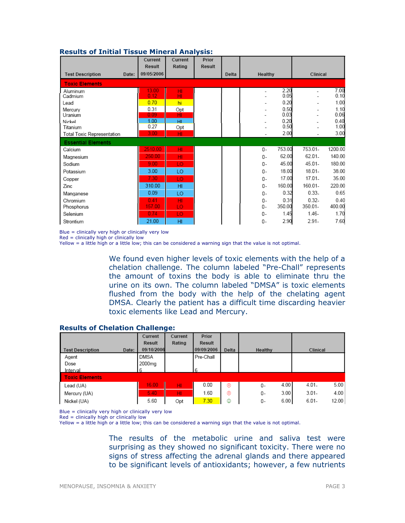|                                  | Current      | Current         | Prior         |       |                          |              |           |              |
|----------------------------------|--------------|-----------------|---------------|-------|--------------------------|--------------|-----------|--------------|
|                                  | Result       | Rating          | <b>Result</b> |       |                          |              |           |              |
| <b>Test Description</b><br>Date: | 09/05/2006   |                 |               | Delta | Healthy                  |              | Clinical  |              |
| <b>Toxic Elements</b>            |              |                 |               |       |                          |              |           |              |
| Aluminum                         | 13.00        | 빏               |               |       |                          | 2.20         |           | 7.00         |
| Cadmium                          | 0.12         |                 |               |       |                          | 0.05         |           | 0.10         |
| Lead                             | 0.70         | hi              |               |       |                          | 0.20         |           | 1.00         |
| Mercury                          | 0.31         | Opt             |               |       |                          | 0.50         |           | 1.10         |
| Uranium                          | 0.09         | ΗĪ              |               |       |                          | 0.03         |           | 0.06         |
| Nickel                           | 1.00<br>0.27 | HI              |               |       |                          | 0.20<br>0.50 |           | 0.40<br>1.00 |
| Titanium                         | 3.00         | Opt             |               |       |                          | 2.00         |           | 3.00         |
| Total Toxic Representation       |              | HI              |               |       | $\overline{\phantom{a}}$ |              |           |              |
| <b>Essential Elements</b>        |              |                 |               |       |                          |              |           |              |
| Calcium                          | 2510.00      | HI              |               |       | $0-$                     | 753.00       | 753.01-   | 1200.00      |
| Magnesium                        | 250.00       | HI              |               |       | $0-$                     | 62.00        | 62.01.    | 140.00       |
| Sodium                           | 9.00         | LO              |               |       | 0-                       | 45.00        | 45.01-    | 180.00       |
| Potassium                        | 3.00         | LO              |               |       | $0 -$                    | 18.00        | $18.01 -$ | 38.00        |
| Copper                           | 7.30         | LO              |               |       | 0-                       | 17.00        | 17.01.    | 35.00        |
| Zinc                             | 310.00       | H <sub>II</sub> |               |       | 0-                       | 160.00       | 160.01-   | 220.00       |
| Manganese                        | 0.09         | LO              |               |       | $0 -$                    | 0.32         | $0.33 -$  | 0.65         |
| Chromium                         | 0.41         | HI              |               |       | 0-                       | 0.31         | $0.32 -$  | 0.40         |
| Phosphorus                       | 157.00       | LO              |               |       | 0-                       | 350.00       | 350.01-   | 400.00       |
| Selenium                         | 0.74         | LO              |               |       | 0-                       | 1.45         | $1.46 -$  | 1.70         |
| Strontium                        | 21.00        | HI              |               |       | 0-                       | 2.90         | $2.91 -$  | 7.60         |

#### Results of Initial Tissue Mineral Analysis:

Blue = clinically very high or clinically very low

Red = clinically high or clinically low

Yellow = a little high or a little low; this can be considered a warning sign that the value is not optimal.

We found even higher levels of toxic elements with the help of a chelation challenge. The column labeled "Pre-Chall" represents the amount of toxins the body is able to eliminate thru the urine on its own. The column labeled "DMSA" is toxic elements flushed from the body with the help of the chelating agent DMSA. Clearly the patient has a difficult time discarding heavier toxic elements like Lead and Mercury.

#### Results of Chelation Challenge:

|                                  | Current            | Current | Prior         |       |            |                   |
|----------------------------------|--------------------|---------|---------------|-------|------------|-------------------|
|                                  | <b>Result</b>      | Rating  | <b>Result</b> |       |            |                   |
| <b>Test Description</b><br>Date: | 09/10/2006         |         | 09/09/2006    | Delta | Healthy    | Clinical          |
| Agent                            | <b>DMSA</b>        |         | Pre-Chall     |       |            |                   |
| Dose                             | 2000 <sub>mg</sub> |         |               |       |            |                   |
| Interval                         | 6                  |         | 6             |       |            |                   |
| <b>Toxic Elements</b>            |                    |         |               |       |            |                   |
| Lead (UA)                        | 16.00              | HI.     | 0.00          | ⊛     | 4.00<br>0- | 5.00<br>$4.01 -$  |
| Mercury (UA)                     | 5.40               | HI.     | 1.60          | ⊛     | 3.00<br>0- | 4.00<br>$3.01 -$  |
| Nickel (UA)                      | 5.60               | Opt     | 7.30          | ٥     | 6.00<br>0- | $6.01 -$<br>12.00 |

Blue = clinically very high or clinically very low

 $Red = clinically high or clinically low$ 

Yellow = a little high or a little low; this can be considered a warning sign that the value is not optimal.

The results of the metabolic urine and saliva test were surprising as they showed no significant toxicity. There were no signs of stress affecting the adrenal glands and there appeared to be significant levels of antioxidants; however, a few nutrients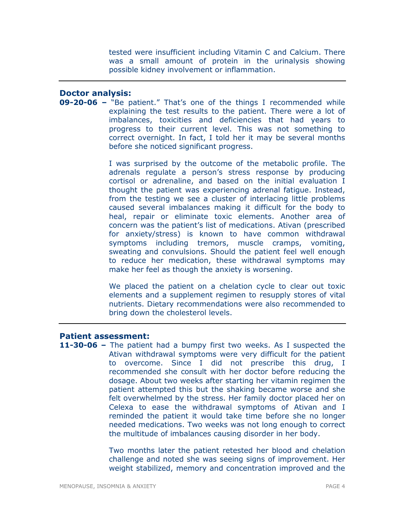tested were insufficient including Vitamin C and Calcium. There was a small amount of protein in the urinalysis showing possible kidney involvement or inflammation.

#### Doctor analysis:

09-20-06 – "Be patient." That's one of the things I recommended while explaining the test results to the patient. There were a lot of imbalances, toxicities and deficiencies that had years to progress to their current level. This was not something to correct overnight. In fact, I told her it may be several months before she noticed significant progress.

> I was surprised by the outcome of the metabolic profile. The adrenals regulate a person's stress response by producing cortisol or adrenaline, and based on the initial evaluation I thought the patient was experiencing adrenal fatigue. Instead, from the testing we see a cluster of interlacing little problems caused several imbalances making it difficult for the body to heal, repair or eliminate toxic elements. Another area of concern was the patient's list of medications. Ativan (prescribed for anxiety/stress) is known to have common withdrawal symptoms including tremors, muscle cramps, vomiting, sweating and convulsions. Should the patient feel well enough to reduce her medication, these withdrawal symptoms may make her feel as though the anxiety is worsening.

> We placed the patient on a chelation cycle to clear out toxic elements and a supplement regimen to resupply stores of vital nutrients. Dietary recommendations were also recommended to bring down the cholesterol levels.

#### Patient assessment:

11-30-06 - The patient had a bumpy first two weeks. As I suspected the Ativan withdrawal symptoms were very difficult for the patient to overcome. Since I did not prescribe this drug, I recommended she consult with her doctor before reducing the dosage. About two weeks after starting her vitamin regimen the patient attempted this but the shaking became worse and she felt overwhelmed by the stress. Her family doctor placed her on Celexa to ease the withdrawal symptoms of Ativan and I reminded the patient it would take time before she no longer needed medications. Two weeks was not long enough to correct the multitude of imbalances causing disorder in her body.

> Two months later the patient retested her blood and chelation challenge and noted she was seeing signs of improvement. Her weight stabilized, memory and concentration improved and the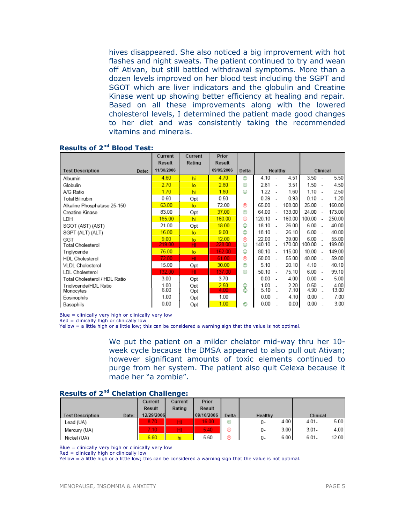hives disappeared. She also noticed a big improvement with hot flashes and night sweats. The patient continued to try and wean off Ativan, but still battled withdrawal symptoms. More than a dozen levels improved on her blood test including the SGPT and SGOT which are liver indicators and the globulin and Creatine Kinase went up showing better efficiency at healing and repair. Based on all these improvements along with the lowered cholesterol levels, I determined the patient made good changes to her diet and was consistently taking the recommended vitamins and minerals.

|                                  | Current       | Current        | Prior         |       |        |                          |        |          |                          |        |
|----------------------------------|---------------|----------------|---------------|-------|--------|--------------------------|--------|----------|--------------------------|--------|
|                                  | <b>Result</b> | Rating         | <b>Result</b> |       |        |                          |        |          |                          |        |
| <b>Test Description</b><br>Date: | 11/30/2006    |                | 09/05/2006    | Delta |        | Healthy                  |        | Clinical |                          |        |
| Albumin                          | 4.60          | hi             | 4.70          | ٧     | 4.10   |                          | 4.51   | $3.50 -$ |                          | 5.50   |
| Globulin                         | 2.70          | $\overline{a}$ | 2.60          | ☺     | 2.81   |                          | 3.51   | $1.50 -$ |                          | 4.50   |
| A/G Ratio                        | 1.70          | hi             | 1.80          | ٨     | 1.22   |                          | 1.60   | 1.10     | $\overline{\phantom{a}}$ | 2.50   |
| Total Bilirubin                  | 0.60          | Opt            | 0.50          |       | 0.39   |                          | 0.93   | 0.10     | ۰.                       | 1.20   |
| Alkaline Phosphatase 25-150      | 63.00         | $\overline{a}$ | 72.00         | ⊛     | 65.00  |                          | 108.00 | 25.00    |                          | 160.00 |
| Creatine Kinase                  | 83.00         | Opt            | 37.00         | ☺     | 64.00  |                          | 133.00 | 24.00    |                          | 173.00 |
| LDH                              | 165.00        | hi             | 160.00        | ⊛     | 120.10 |                          | 160.00 | 100.00   |                          | 250.00 |
| SGOT (AST) (AST)                 | 21.00         | Opt            | 18.00         | ☺     | 18.10  | $\sim$                   | 26.00  | 6.00     | $\overline{\phantom{a}}$ | 40.00  |
| SGPT (ALT) (ALT)                 | 16.00         | $\overline{a}$ | 9.00          | ☺     | 18.10  | - 2                      | 26.10  | 6.00     | $\sim$                   | 40.00  |
| GGT                              | 9.00          | $\overline{a}$ | 12.00         | ⊛     | 22.00  |                          | 39.00  | $6.00 -$ |                          | 55.00  |
| Total Cholesterol                | 219.00        | HI             | 228.00        | ☺     | 140.10 |                          | 170.00 | 100.00   |                          | 199.00 |
| Triglyceride                     | 75.00         | $\overline{a}$ | 152.00        | ☺     | 80.10  |                          | 115.00 | 10.00    |                          | 149.00 |
| <b>HDL Cholesterol</b>           | 72.00         | HI.            | 61.00         | ⊛     | 50.00  | $\overline{\phantom{a}}$ | 55.00  | 40.00 -  |                          | 59.00  |
| <b>VLDL Cholesterol</b>          | 15.00         | Opt            | 30.00         | ٨     | 5.10   | $\sim$                   | 20.10  | $4.10 -$ |                          | 40.10  |
| <b>LDL Cholesterol</b>           | 132.00        | HI             | 137.00        | ☺     | 50.10  | - 14                     | 75.10  | 6.00     | $\overline{a}$           | 99.10  |
| Total Cholesterol / HDL Ratio    | 3.00          | Opt            | 3.70          |       | 0.00   | ÷.                       | 4.00   | 0.00     | - 1                      | 5.00   |
| Triglyceride/HDL Ratio           | 1.00          | Opt            | 2.50          | ☺     | 1.00   |                          | 2.20   | $0.50 -$ |                          | 4.00   |
| Monocytes                        | 6.00          | Opt            | 4.00          | ☺     | 5.10   |                          | 7.10   | 4.90     |                          | 13.00  |
| Eosinophils                      | 1.00          | Opt            | 1.00          |       | 0.00   |                          | 4.10   | 0.00     |                          | 7.00   |
| Basophils                        | 0.00          | Opt            | 1.00          | ٨     | 0.00   |                          | 0.00   | 0.00     |                          | 3.00   |

#### Results of 2nd Blood Test:

Blue = clinically very high or clinically very low

Red = clinically high or clinically low

Yellow = a little high or a little low; this can be considered a warning sign that the value is not optimal.

We put the patient on a milder chelator mid-way thru her 10 week cycle because the DMSA appeared to also pull out Ativan; however significant amounts of toxic elements continued to purge from her system. The patient also quit Celexa because it made her "a zombie".

#### Results of 2<sup>nd</sup> Chelation Challenge:

|                                  | Current    | Current | Prior      |       |            |                   |
|----------------------------------|------------|---------|------------|-------|------------|-------------------|
|                                  | Result     | Rating  | Result     |       |            |                   |
| Date:<br><b>Test Description</b> | 12/29/2006 |         | 09/10/2006 | Delta | Healthy    | Clinical          |
| Lead (UA)                        | 8.70       | HI      | 16.00      | ☺     | 4.00<br>0- | 5.00<br>$4.01 -$  |
| Mercury (UA)                     | 7.10'      | HI      | 5.40.      | ⊛     | 3.00<br>0- | $3.01 -$<br>4.00  |
| Nickel (UA)                      | 6.60       |         | 5.60       | ౧     | 6.00<br>0- | $6.01 -$<br>12.00 |

Blue = clinically very high or clinically very low

 $Red =$  clinically high or clinically low

Yellow = a little high or a little low; this can be considered a warning sign that the value is not optimal.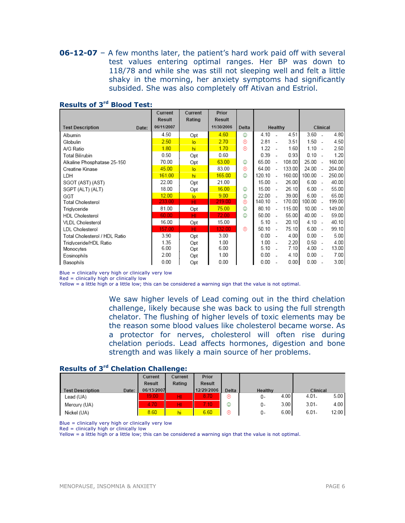**06-12-07** – A few months later, the patient's hard work paid off with several test values entering optimal ranges. Her BP was down to 118/78 and while she was still not sleeping well and felt a little shaky in the morning, her anxiety symptoms had significantly subsided. She was also completely off Ativan and Estriol.

|                               |       | Current    | Current        | Prior         |       |        |                          |        |          |                          |        |
|-------------------------------|-------|------------|----------------|---------------|-------|--------|--------------------------|--------|----------|--------------------------|--------|
|                               |       | Result     | Rating         | <b>Result</b> |       |        |                          |        |          |                          |        |
| <b>Test Description</b>       | Date: | 06/11/2007 |                | 11/30/2006    | Delta |        | Healthy                  |        | Clinical |                          |        |
| Albumin                       |       | 4.50       | Opt            | 4.60          | ☺     | 4.10   |                          | 4.51   | 3.60     | $\overline{\phantom{a}}$ | 4.80   |
| Globulin                      |       | 2.50       | lo             | 2.70          | ⊛     | 2.81   |                          | 3.51   | 1.50     | $\overline{\phantom{a}}$ | 4.50   |
| A/G Ratio                     |       | 1.80       | hi             | 1.70          | ⊛     | 1.22   |                          | 1.60   | 1.10     | - 1                      | 2.50   |
| Total Bilirubin               |       | 0.50       | Opt            | 0.60          |       | 0.39   |                          | 0.93   | 0.10     |                          | 1.20   |
| Alkaline Phosphatase 25-150   |       | 70.00      | Opt            | 63.00         | ☺     | 65.00  |                          | 108.00 | 25.00    | $\overline{\phantom{a}}$ | 160.00 |
| Creatine Kinase               |       | 45.00      | $\overline{a}$ | 83.00         | ⊛     | 64.00  | $\sim$                   | 133.00 | 24.00    | $\overline{\phantom{a}}$ | 204.00 |
| LDH                           |       | 161.00     | hi             | 165.00        | O     | 120.10 | ÷.                       | 160.00 | 100.00   |                          | 250.00 |
| SGOT (AST) (AST)              |       | 22.00      | Opt            | 21.00         |       | 15.00  | $\sim$                   | 26.00  | 6.00     | $\overline{\phantom{a}}$ | 40.00  |
| SGPT (ALT) (ALT)              |       | 18.00      | Opt            | 16.00         | ☺     | 15.00  | - 1                      | 26.10  | 6.00     | $\overline{\phantom{a}}$ | 55.00  |
| GGT                           |       | 12.00      | lo             | 9.00          | ☺     | 22.00  |                          | 39.00  | 6.00     | $\sim$                   | 65.00  |
| Total Cholesterol             |       | 233.00     | HI             | 219.00        | ⊛     | 140.10 |                          | 170.00 | 100.00   | $\overline{\phantom{a}}$ | 199.00 |
| Triglyceride                  |       | 81.00      | Opt            | 75.00         | ☺     | 80.10  | $\sim$                   | 115.00 | 10.00    | $\overline{\phantom{a}}$ | 149.00 |
| <b>HDL Cholesterol</b>        |       | 60.00      | HI             | 72.00         | ☺     | 50.00  | $\overline{\phantom{a}}$ | 55.00  | 40.00    | $\overline{\phantom{a}}$ | 59.00  |
| <b>VLDL Cholesterol</b>       |       | 16.00      | Opt            | 15.00         |       | 5.10   | $\overline{\phantom{a}}$ | 20.10  | 4.10     | $\overline{\phantom{a}}$ | 40.10  |
| <b>LDL Cholesterol</b>        |       | 157.00     | HI             | 132.00        | ⊛     | 50.10  | $\overline{\phantom{a}}$ | 75.10  | 6.00     | $\overline{\phantom{a}}$ | 99.10  |
| Total Cholesterol / HDL Ratio |       | 3.90       | Opt            | 3.00          |       | 0.00   |                          | 4.00   | 0.00     | $\overline{\phantom{a}}$ | 5.00   |
| Triglyceride/HDL Ratio        |       | 1.35       | Opt            | 1.00          |       | 1.00   |                          | 2.20   | $0.50 -$ |                          | 4.00   |
| Monocytes                     |       | 6.00       | Opt            | 6.00          |       | 5.10   |                          | 7.10   | 4.00     | $\overline{\phantom{a}}$ | 13.00  |
| Eosinophils                   |       | 2.00       | Opt            | 1.00          |       | 0.00   |                          | 4.10   | 0.00     |                          | 7.00   |
| Basophils                     |       | 0.00       | Opt            | 0.00          |       | 0.00   |                          | 0.00   | 0.00     |                          | 3.00   |

#### Results of 3rd Blood Test:

Blue = clinically very high or clinically very low

Red = clinically high or clinically low

Yellow = a little high or a little low; this can be considered a warning sign that the value is not optimal.

We saw higher levels of Lead coming out in the third chelation challenge, likely because she was back to using the full strength chelator. The flushing of higher levels of toxic elements may be the reason some blood values like cholesterol became worse. As a protector for nerves, cholesterol will often rise during chelation periods. Lead affects hormones, digestion and bone strength and was likely a main source of her problems.

## Results of 3rd Chelation Challenge:

|                         |       | Current       | Current | Prior      |       |         |      |          |       |
|-------------------------|-------|---------------|---------|------------|-------|---------|------|----------|-------|
|                         |       | <b>Result</b> | Rating  | Result     |       |         |      |          |       |
| <b>Test Description</b> | Date: | 06/13/2007    |         | 12/29/2006 | Delta | Healthy |      | Clinical |       |
| Lead (UA)               |       | 19.00         | HI.     | 8.70       | ⊛     | 0-      | 4.00 | $4.01 -$ | 5.00  |
| Mercury (UA)            |       | 4.70          | HI      | 7.10       | ☺     | 0-      | 3.00 | $3.01 -$ | 4.00  |
| Nickel (UA)             |       | 8.60          | hi      | 6.60       | ⊛     | 0-      | 6.00 | $6.01 -$ | 12.00 |

Blue = clinically very high or clinically very low

Red = clinically high or clinically low

Yellow = a little high or a little low; this can be considered a warning sign that the value is not optimal.